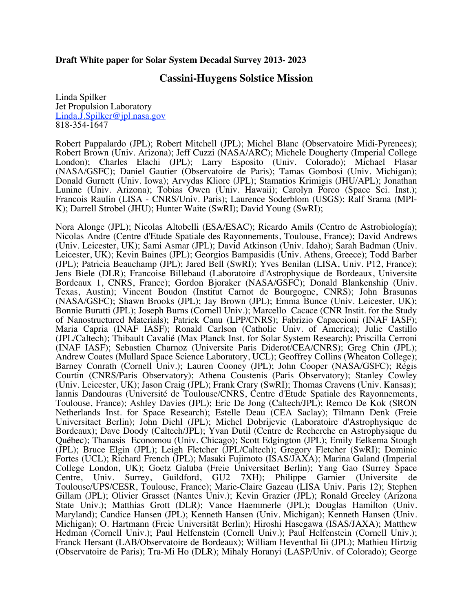## **Draft White paper for Solar System Decadal Survey 2013- 2023**

# **Cassini-Huygens Solstice Mission**

Linda Spilker Jet Propulsion Laboratory Linda.J.Spilker@jpl.nasa.gov 818-354-1647

Robert Pappalardo (JPL); Robert Mitchell (JPL); Michel Blanc (Observatoire Midi-Pyrenees); Robert Brown (Univ. Arizona); Jeff Cuzzi (NASA/ARC); Michele Dougherty (Imperial College London); Charles Elachi (JPL); Larry Esposito (Univ. Colorado); Michael Flasar (NASA/GSFC); Daniel Gautier (Observatoire de Paris); Tamas Gombosi (Univ. Michigan); Donald Gurnett (Univ. Iowa); Arvydas Kliore (JPL); Stamatios Krimigis (JHU/APL); Jonathan Lunine (Univ. Arizona); Tobias Owen (Univ. Hawaii); Carolyn Porco (Space Sci. Inst.); Francois Raulin (LISA - CNRS/Univ. Paris); Laurence Soderblom (USGS); Ralf Srama (MPI- K); Darrell Strobel (JHU); Hunter Waite (SwRI); David Young (SwRI);

Nora Alonge (JPL); Nicolas Altobelli (ESA/ESAC); Ricardo Amils (Centro de Astrobiología); Nicolas Andre (Centre d'Etude Spatiale des Rayonnements, Toulouse, France); David Andrews (Univ. Leicester, UK); Sami Asmar (JPL); David Atkinson (Univ. Idaho); Sarah Badman (Univ. Leicester, UK); Kevin Baines (JPL); Georgios Bampasidis (Univ. Athens, Greece); Todd Barber (JPL); Patricia Beauchamp (JPL); Jared Bell (SwRI); Yves Benilan (LISA, Univ. P12, France); Jens Biele (DLR); Francoise Billebaud (Laboratoire d'Astrophysique de Bordeaux, Universite Bordeaux 1, CNRS, France); Gordon Bjoraker (NASA/GSFC); Donald Blankenship (Univ. Texas, Austin); Vincent Boudon (Institut Carnot de Bourgogne, CNRS); John Brasunas (NASA/GSFC); Shawn Brooks (JPL); Jay Brown (JPL); Emma Bunce (Univ. Leicester, UK); Bonnie Buratti (JPL); Joseph Burns (Cornell Univ.); Marcello Cacace (CNR Instit. for the Study of Nanostructured Materials); Patrick Canu (LPP/CNRS); Fabrizio Capaccioni (INAF IASF); Maria Capria (INAF IASF); Ronald Carlson (Catholic Univ. of America); Julie Castillo (JPL/Caltech); Thibault Cavalié (Max Planck Inst. for Solar System Research); Priscilla Cerroni (INAF IASF); Sebastien Charnoz (Universite Paris Diderot/CEA/CNRS); Greg Chin (JPL); Andrew Coates (Mullard Space Science Laboratory, UCL); Geoffrey Collins (Wheaton College); Barney Conrath (Cornell Univ.); Lauren Cooney (JPL); John Cooper (NASA/GSFC); Régis Courtin (CNRS/Paris Observatory); Athena Coustenis (Paris Observatory); Stanley Cowley (Univ. Leicester, UK); Jason Craig (JPL); Frank Crary (SwRI); Thomas Cravens (Univ. Kansas); Iannis Dandouras (Université de Toulouse/CNRS, Centre d'Etude Spatiale des Rayonnements, Toulouse, France); Ashley Davies (JPL); Eric De Jong (Caltech/JPL); Remco De Kok (SRON Netherlands Inst. for Space Research); Estelle Deau (CEA Saclay); Tilmann Denk (Freie Universitaet Berlin); John Diehl (JPL); Michel Dobrijevic (Laboratoire d'Astrophysique de Bordeaux); Dave Doody (Caltech/JPL); Yvan Dutil (Centre de Recherche en Astrophysique du Québec); Thanasis Economou (Univ. Chicago); Scott Edgington (JPL); Emily Eelkema Stough (JPL); Bruce Elgin (JPL); Leigh Fletcher (JPL/Caltech); Gregory Fletcher (SwRI); Dominic Fortes (UCL); Richard French (JPL); Masaki Fujimoto (ISAS/JAXA); Marina Galand (Imperial College London, UK); Goetz Galuba (Freie Universitaet Berlin); Yang Gao (Surrey Space Centre, Univ. Surrey, Guildford, GU2 7XH); Philippe Garnier (Universite de Toulouse/UPS/CESR, Toulouse, France); Marie-Claire Gazeau (LISA Univ. Paris 12); Stephen Gillam (JPL); Olivier Grasset (Nantes Univ.); Kevin Grazier (JPL); Ronald Greeley (Arizona State Univ.); Matthias Grott (DLR); Vance Haemmerle (JPL); Douglas Hamilton (Univ. Maryland); Candice Hansen (JPL); Kenneth Hansen (Univ. Michigan); Kenneth Hansen (Univ. Michigan); O. Hartmann (Freie Universität Berlin); Hiroshi Hasegawa (ISAS/JAXA); Matthew Hedman (Cornell Univ.); Paul Helfenstein (Cornell Univ.); Paul Helfenstein (Cornell Univ.); Franck Hersant (LAB/Observatoire de Bordeaux); William Heventhal Iii (JPL); Mathieu Hirtzig (Observatoire de Paris); Tra-Mi Ho (DLR); Mihaly Horanyi (LASP/Univ. of Colorado); George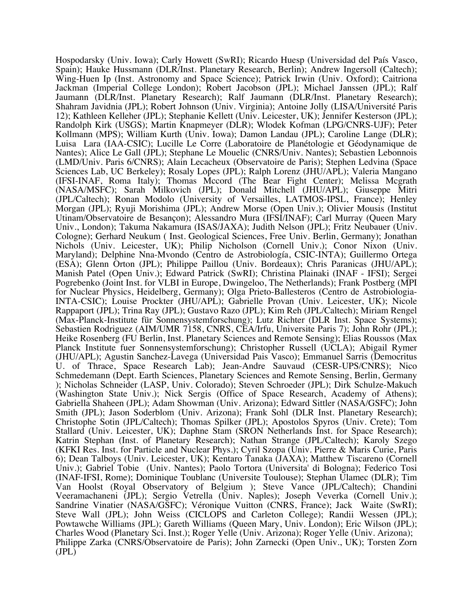Hospodarsky (Univ. Iowa); Carly Howett (SwRI); Ricardo Huesp (Universidad del País Vasco, Spain); Hauke Hussmann (DLR/Inst. Planetary Research, Berlin); Andrew Ingersoll (Caltech); Wing-Huen Ip (Inst. Astronomy and Space Science); Patrick Irwin (Univ. Oxford); Caitriona Jackman (Imperial College London); Robert Jacobson (JPL); Michael Janssen (JPL); Ralf Jaumann (DLR/Inst. Planetary Research); Ralf Jaumann (DLR/Inst. Planetary Research); Shahram Javidnia (JPL); Robert Johnson (Univ. Virginia); Antoine Jolly (LISA/Université Paris 12); Kathleen Kelleher (JPL); Stephanie Kellett (Univ. Leicester, UK); Jennifer Kesterson (JPL); Randolph Kirk (USGS); Martin Knapmeyer (DLR); Wlodek Kofman (LPG/CNRS-UJF); Peter Kollmann (MPS); William Kurth (Univ. Iowa); Damon Landau (JPL); Caroline Lange (DLR); Luisa Lara (IAA-CSIC); Lucille Le Corre (Laboratoire de Planétologie et Géodynamique de Nantes); Alice Le Gall (JPL); Stephane Le Mouelic (CNRS/Univ. Nantes); Sebastien Lebonnois (LMD/Univ. Paris 6/CNRS); Alain Lecacheux (Observatoire de Paris); Stephen Ledvina (Space Sciences Lab, UC Berkeley); Rosaly Lopes (JPL); Ralph Lorenz (JHU/APL); Valeria Mangano (IFSI-INAF, Roma Italy); Thomas Mccord (The Bear Fight Center); Melissa Mcgrath (NASA/MSFC); Sarah Milkovich (JPL); Donald Mitchell (JHU/APL); Giuseppe Mitri (JPL/Caltech); Ronan Modolo (University of Versailles, LATMOS-IPSL, France); Henley Morgan (JPL); Ryuji Morishima (JPL); Andrew Morse (Open Univ.); Olivier Mousis (Institut Utinam/Observatoire de Besançon); Alessandro Mura (IFSI/INAF); Carl Murray (Queen Mary Univ., London); Takuma Nakamura (ISAS/JAXA); Judith Nelson (JPL); Fritz Neubauer (Univ. Cologne); Gerhard Neukum ( Inst. Geological Sciences, Free Univ. Berlin, Germany); Jonathan Nichols (Univ. Leicester, UK); Philip Nicholson (Cornell Univ.); Conor Nixon (Univ. Maryland); Delphine Nna-Mvondo (Centro de Astrobiología, CSIC-INTA); Guillermo Ortega (ESA); Glenn Orton (JPL); Philippe Paillou (Univ. Bordeaux); Chris Paranicas (JHU/APL); Manish Patel (Open Univ.); Edward Patrick (SwRI); Christina Plainaki (INAF - IFSI); Sergei Pogrebenko (Joint Inst. for VLBI in Europe, Dwingeloo, The Netherlands); Frank Postberg (MPI for Nuclear Physics, Heidelberg, Germany); Olga Prieto-Ballesteros (Centro de Astrobiologia-INTA-CSIC); Louise Prockter (JHU/APL); Gabrielle Provan (Univ. Leicester, UK); Nicole Rappaport (JPL); Trina Ray (JPL); Gustavo Razo (JPL); Kim Reh (JPL/Caltech); Miriam Rengel (Max-Planck-Institute für Sonnensystemforschung); Lutz Richter (DLR Inst. Space Systems); Sebastien Rodriguez (AIM/UMR 7158, CNRS, CEA/Irfu, Universite Paris 7); John Rohr (JPL); Heike Rosenberg (FU Berlin, Inst. Planetary Sciences and Remote Sensing); Elias Roussos (Max Planck Institute fuer Sonnensystemforschung); Christopher Russell (UCLA); Abigail Rymer (JHU/APL); Agustin Sanchez-Lavega (Universidad Pais Vasco); Emmanuel Sarris (Democritus U. of Thrace, Space Research Lab); Jean-Andre Sauvaud (CESR-UPS/CNRS); Nico Schmedemann (Dept. Earth Sciences, Planetary Sciences and Remote Sensing, Berlin, Germany ); Nicholas Schneider (LASP, Univ. Colorado); Steven Schroeder (JPL); Dirk Schulze-Makuch (Washington State Univ.); Nick Sergis (Office of Space Research, Academy of Athens); Gabriella Shaheen (JPL); Adam Showman (Univ. Arizona); Edward Sittler (NASA/GSFC); John Smith (JPL); Jason Soderblom (Univ. Arizona); Frank Sohl (DLR Inst. Planetary Research); Christophe Sotin (JPL/Caltech); Thomas Spilker (JPL); Apostolos Spyros (Univ. Crete); Tom Stallard (Univ. Leicester, UK); Daphne Stam (SRON Netherlands Inst. for Space Research); Katrin Stephan (Inst. of Planetary Research); Nathan Strange (JPL/Caltech); Karoly Szego (KFKI Res. Inst. for Particle and Nuclear Phys.); Cyril Szopa (Univ. Pierre & Maris Curie, Paris 6); Dean Talboys (Univ. Leicester, UK); Kentaro Tanaka (JAXA); Matthew Tiscareno (Cornell Univ.); Gabriel Tobie (Univ. Nantes); Paolo Tortora (Universita' di Bologna); Federico Tosi (INAF-IFSI, Rome); Dominique Toublanc (Universite Toulouse); Stephan Ulamec (DLR); Tim Van Hoolst (Royal Observatory of Belgium ); Steve Vance (JPL/Caltech); Chandini Veeramachaneni (JPL); Sergio Vetrella (Univ. Naples); Joseph Veverka (Cornell Univ.); Sandrine Vinatier (NASA/GSFC); Véronique Vuitton (CNRS, France); Jack Waite (SwRI); Steve Wall (JPL); John Weiss (CICLOPS and Carleton College); Randii Wessen (JPL); Powtawche Williams (JPL); Gareth Williams (Queen Mary, Univ. London); Eric Wilson (JPL); Charles Wood (Planetary Sci. Inst.); Roger Yelle (Univ. Arizona); Roger Yelle (Univ. Arizona); Philippe Zarka (CNRS/Observatoire de Paris); John Zarnecki (Open Univ., UK); Torsten Zorn (JPL)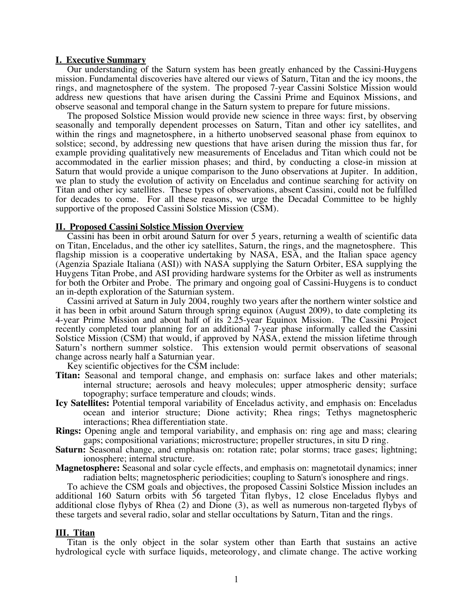#### **I. Executive Summary**

 Our understanding of the Saturn system has been greatly enhanced by the Cassini-Huygens mission. Fundamental discoveries have altered our views of Saturn, Titan and the icy moons, the rings, and magnetosphere of the system. The proposed 7-year Cassini Solstice Mission would address new questions that have arisen during the Cassini Prime and Equinox Missions, and observe seasonal and temporal change in the Saturn system to prepare for future missions. The proposed Solstice Mission would provide new science in three ways: first, by observing

seasonally and temporally dependent processes on Saturn, Titan and other icy satellites, and within the rings and magnetosphere, in a hitherto unobserved seasonal phase from equinox to solstice; second, by addressing new questions that have arisen during the mission thus far, for example providing qualitatively new measurements of Enceladus and Titan which could not be accommodated in the earlier mission phases; and third, by conducting a close-in mission at Saturn that would provide a unique comparison to the Juno observations at Jupiter. In addition, we plan to study the evolution of activity on Enceladus and continue searching for activity on Titan and other icy satellites. These types of observations, absent Cassini, could not be fulfilled for decades to come. For all these reasons, we urge the Decadal Committee to be highly supportive of the proposed Cassini Solstice Mission (CSM).

#### **II. Proposed Cassini Solstice Mission Overview**

 Cassini has been in orbit around Saturn for over 5 years, returning a wealth of scientific data on Titan, Enceladus, and the other icy satellites, Saturn, the rings, and the magnetosphere. This flagship mission is a cooperative undertaking by NASA, ESA, and the Italian space agency (Agenzia Spaziale Italiana (ASI)) with NASA supplying the Saturn Orbiter, ESA supplying the Huygens Titan Probe, and ASI providing hardware systems for the Orbiter as well as instruments for both the Orbiter and Probe. The primary and ongoing goal of Cassini-Huygens is to conduct an in-depth exploration of the Saturnian system.

 Cassini arrived at Saturn in July 2004, roughly two years after the northern winter solstice and it has been in orbit around Saturn through spring equinox (August 2009), to date completing its 4-year Prime Mission and about half of its 2.25-year Equinox Mission. The Cassini Project recently completed tour planning for an additional 7-year phase informally called the Cassini Solstice Mission (CSM) that would, if approved by NASA, extend the mission lifetime through Saturn's northern summer solstice. This extension would permit observations of seasonal change across nearly half a Saturnian year.

Key scientific objectives for the CSM include:

- **Titan:** Seasonal and temporal change, and emphasis on: surface lakes and other materials; internal structure; aerosols and heavy molecules; upper atmospheric density; surface topography; surface temperature and clouds; winds.
- **Icy Satellites:** Potential temporal variability of Enceladus activity, and emphasis on: Enceladus ocean and interior structure; Dione activity; Rhea rings; Tethys magnetospheric interactions; Rhea differentiation state.
- **Rings:** Opening angle and temporal variability, and emphasis on: ring age and mass; clearing gaps; compositional variations; microstructure; propeller structures, in situ D ring.
- **Saturn:** Seasonal change, and emphasis on: rotation rate; polar storms; trace gases; lightning; ionosphere; internal structure.
- **Magnetosphere:** Seasonal and solar cycle effects, and emphasis on: magnetotail dynamics; inner radiation belts; magnetospheric periodicities; coupling to Saturn's ionosphere and rings.

 To achieve the CSM goals and objectives, the proposed Cassini Solstice Mission includes an additional 160 Saturn orbits with 56 targeted Titan flybys, 12 close Enceladus flybys and additional close flybys of Rhea (2) and Dione (3), as well as numerous non-targeted flybys of these targets and several radio, solar and stellar occultations by Saturn, Titan and the rings.

#### **III. Titan**

 Titan is the only object in the solar system other than Earth that sustains an active hydrological cycle with surface liquids, meteorology, and climate change. The active working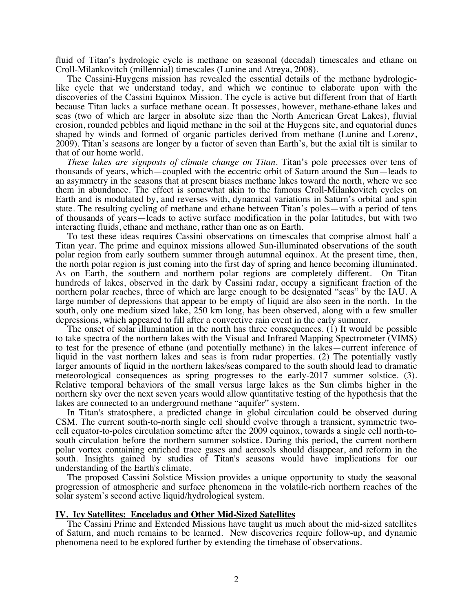fluid of Titan's hydrologic cycle is methane on seasonal (decadal) timescales and ethane on Croll-Milankovitch (millennial) timescales (Lunine and Atreya, 2008).

 The Cassini-Huygens mission has revealed the essential details of the methane hydrologiclike cycle that we understand today, and which we continue to elaborate upon with the discoveries of the Cassini Equinox Mission. The cycle is active but different from that of Earth because Titan lacks a surface methane ocean. It possesses, however, methane-ethane lakes and seas (two of which are larger in absolute size than the North American Great Lakes), fluvial erosion, rounded pebbles and liquid methane in the soil at the Huygens site, and equatorial dunes shaped by winds and formed of organic particles derived from methane (Lunine and Lorenz, 2009). Titan's seasons are longer by a factor of seven than Earth's, but the axial tilt is similar to that of our home world.

 *These lakes are signposts of climate change on Titan*. Titan's pole precesses over tens of thousands of years, which—coupled with the eccentric orbit of Saturn around the Sun—leads to an asymmetry in the seasons that at present biases methane lakes toward the north, where we see them in abundance. The effect is somewhat akin to the famous Croll-Milankovitch cycles on Earth and is modulated by, and reverses with, dynamical variations in Saturn's orbital and spin state. The resulting cycling of methane and ethane between Titan's poles—with a period of tens of thousands of years—leads to active surface modification in the polar latitudes, but with two interacting fluids, ethane and methane, rather than one as on Earth.

 To test these ideas requires Cassini observations on timescales that comprise almost half a Titan year. The prime and equinox missions allowed Sun-illuminated observations of the south polar region from early southern summer through autumnal equinox. At the present time, then, the north polar region is just coming into the first day of spring and hence becoming illuminated. As on Earth, the southern and northern polar regions are completely different. On Titan hundreds of lakes, observed in the dark by Cassini radar, occupy a significant fraction of the northern polar reaches, three of which are large enough to be designated "seas" by the IAU. A large number of depressions that appear to be empty of liquid are also seen in the north. In the south, only one medium sized lake, 250 km long, has been observed, along with a few smaller depressions, which appeared to fill after a convective rain event in the early summer.

 The onset of solar illumination in the north has three consequences. (1) It would be possible to take spectra of the northern lakes with the Visual and Infrared Mapping Spectrometer (VIMS) to test for the presence of ethane (and potentially methane) in the lakes—current inference of liquid in the vast northern lakes and seas is from radar properties. (2) The potentially vastly larger amounts of liquid in the northern lakes/seas compared to the south should lead to dramatic meteorological consequences as spring progresses to the early-2017 summer solstice. (3). Relative temporal behaviors of the small versus large lakes as the Sun climbs higher in the northern sky over the next seven years would allow quantitative testing of the hypothesis that the lakes are connected to an underground methane "aquifer" system.

 In Titan's stratosphere, a predicted change in global circulation could be observed during CSM. The current south-to-north single cell should evolve through a transient, symmetric twocell equator-to-poles circulation sometime after the 2009 equinox, towards a single cell north-tosouth circulation before the northern summer solstice. During this period, the current northern polar vortex containing enriched trace gases and aerosols should disappear, and reform in the south. Insights gained by studies of Titan's seasons would have implications for our understanding of the Earth's climate.

 The proposed Cassini Solstice Mission provides a unique opportunity to study the seasonal progression of atmospheric and surface phenomena in the volatile-rich northern reaches of the solar system's second active liquid/hydrological system.

## **IV. Icy Satellites: Enceladus and Other Mid-Sized Satellites**

 The Cassini Prime and Extended Missions have taught us much about the mid-sized satellites of Saturn, and much remains to be learned. New discoveries require follow-up, and dynamic phenomena need to be explored further by extending the timebase of observations.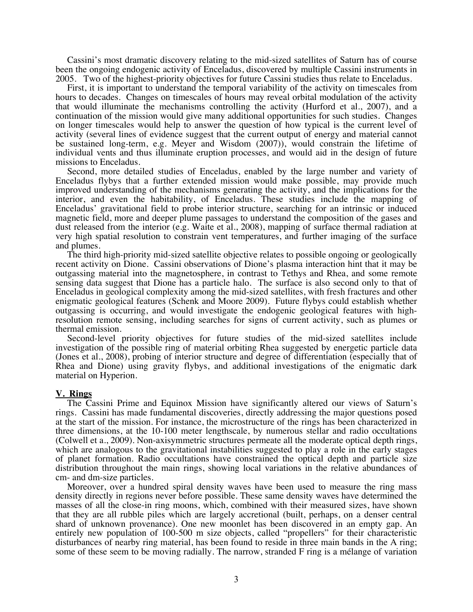Cassini's most dramatic discovery relating to the mid-sized satellites of Saturn has of course been the ongoing endogenic activity of Enceladus, discovered by multiple Cassini instruments in 2005. Two of the highest-priority objectives for future Cassini studies thus relate to Enceladus.

 First, it is important to understand the temporal variability of the activity on timescales from hours to decades. Changes on timescales of hours may reveal orbital modulation of the activity that would illuminate the mechanisms controlling the activity (Hurford et al., 2007), and a continuation of the mission would give many additional opportunities for such studies. Changes on longer timescales would help to answer the question of how typical is the current level of activity (several lines of evidence suggest that the current output of energy and material cannot be sustained long-term, e.g. Meyer and Wisdom (2007)), would constrain the lifetime of individual vents and thus illuminate eruption processes, and would aid in the design of future missions to Enceladus.

 Second, more detailed studies of Enceladus, enabled by the large number and variety of Enceladus flybys that a further extended mission would make possible, may provide much improved understanding of the mechanisms generating the activity, and the implications for the interior, and even the habitability, of Enceladus. These studies include the mapping of Enceladus' gravitational field to probe interior structure, searching for an intrinsic or induced magnetic field, more and deeper plume passages to understand the composition of the gases and dust released from the interior (e.g. Waite et al., 2008), mapping of surface thermal radiation at very high spatial resolution to constrain vent temperatures, and further imaging of the surface and plumes.

 The third high-priority mid-sized satellite objective relates to possible ongoing or geologically recent activity on Dione. Cassini observations of Dione's plasma interaction hint that it may be outgassing material into the magnetosphere, in contrast to Tethys and Rhea, and some remote sensing data suggest that Dione has a particle halo. The surface is also second only to that of Enceladus in geological complexity among the mid-sized satellites, with fresh fractures and other enigmatic geological features (Schenk and Moore 2009). Future flybys could establish whether outgassing is occurring, and would investigate the endogenic geological features with highresolution remote sensing, including searches for signs of current activity, such as plumes or thermal emission.

 Second-level priority objectives for future studies of the mid-sized satellites include investigation of the possible ring of material orbiting Rhea suggested by energetic particle data (Jones et al., 2008), probing of interior structure and degree of differentiation (especially that of Rhea and Dione) using gravity flybys, and additional investigations of the enigmatic dark material on Hyperion.

#### **V. Rings**

 The Cassini Prime and Equinox Mission have significantly altered our views of Saturn's rings. Cassini has made fundamental discoveries, directly addressing the major questions posed at the start of the mission. For instance, the microstructure of the rings has been characterized in three dimensions, at the 10-100 meter lengthscale, by numerous stellar and radio occultations (Colwell et a., 2009). Non-axisymmetric structures permeate all the moderate optical depth rings, which are analogous to the gravitational instabilities suggested to play a role in the early stages of planet formation. Radio occultations have constrained the optical depth and particle size distribution throughout the main rings, showing local variations in the relative abundances of cm- and dm-size particles.

 Moreover, over a hundred spiral density waves have been used to measure the ring mass density directly in regions never before possible. These same density waves have determined the masses of all the close-in ring moons, which, combined with their measured sizes, have shown that they are all rubble piles which are largely accretional (built, perhaps, on a denser central shard of unknown provenance). One new moonlet has been discovered in an empty gap. An entirely new population of 100-500 m size objects, called "propellers" for their characteristic disturbances of nearby ring material, has been found to reside in three main bands in the A ring; some of these seem to be moving radially. The narrow, stranded F ring is a mélange of variation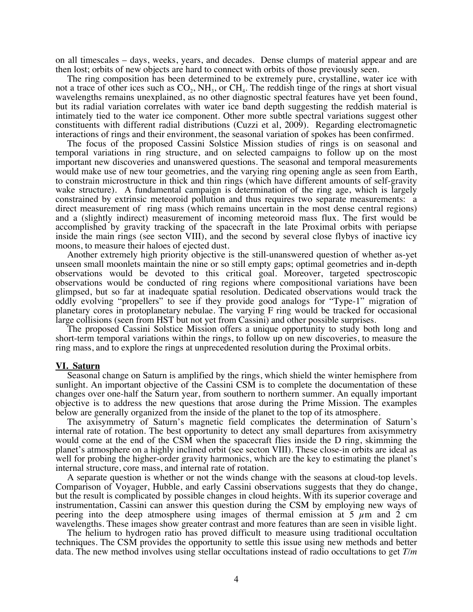on all timescales – days, weeks, years, and decades. Dense clumps of material appear and are then lost; orbits of new objects are hard to connect with orbits of those previously seen.

 The ring composition has been determined to be extremely pure, crystalline, water ice with not a trace of other ices such as  $CO<sub>2</sub>$ , NH<sub>3</sub>, or CH<sub>4</sub>. The reddish tinge of the rings at short visual wavelengths remains unexplained, as no other diagnostic spectral features have yet been found, but its radial variation correlates with water ice band depth suggesting the reddish material is intimately tied to the water ice component. Other more subtle spectral variations suggest other constituents with different radial distributions (Cuzzi et al, 2009). Regarding electromagnetic interactions of rings and their environment, the seasonal variation of spokes has been confirmed.

 The focus of the proposed Cassini Solstice Mission studies of rings is on seasonal and temporal variations in ring structure, and on selected campaigns to follow up on the most important new discoveries and unanswered questions. The seasonal and temporal measurements would make use of new tour geometries, and the varying ring opening angle as seen from Earth, to constrain microstructure in thick and thin rings (which have different amounts of self-gravity wake structure). A fundamental campaign is determination of the ring age, which is largely constrained by extrinsic meteoroid pollution and thus requires two separate measurements: a direct measurement of ring mass (which remains uncertain in the most dense central regions) and a (slightly indirect) measurement of incoming meteoroid mass flux. The first would be accomplished by gravity tracking of the spacecraft in the late Proximal orbits with periapse inside the main rings (see secton VIII), and the second by several close flybys of inactive icy moons, to measure their haloes of ejected dust.

 Another extremely high priority objective is the still-unanswered question of whether as-yet unseen small moonlets maintain the nine or so still empty gaps; optimal geometries and in-depth observations would be devoted to this critical goal. Moreover, targeted spectroscopic observations would be conducted of ring regions where compositional variations have been glimpsed, but so far at inadequate spatial resolution. Dedicated observations would track the oddly evolving "propellers" to see if they provide good analogs for "Type-1" migration of planetary cores in protoplanetary nebulae. The varying F ring would be tracked for occasional large collisions (seen from HST but not yet from Cassini) and other possible surprises.

 The proposed Cassini Solstice Mission offers a unique opportunity to study both long and short-term temporal variations within the rings, to follow up on new discoveries, to measure the ring mass, and to explore the rings at unprecedented resolution during the Proximal orbits.

## **VI. Saturn**

 Seasonal change on Saturn is amplified by the rings, which shield the winter hemisphere from sunlight. An important objective of the Cassini CSM is to complete the documentation of these changes over one-half the Saturn year, from southern to northern summer. An equally important objective is to address the new questions that arose during the Prime Mission. The examples below are generally organized from the inside of the planet to the top of its atmosphere.

 The axisymmetry of Saturn's magnetic field complicates the determination of Saturn's internal rate of rotation. The best opportunity to detect any small departures from axisymmetry would come at the end of the CSM when the spacecraft flies inside the D ring, skimming the planet's atmosphere on a highly inclined orbit (see secton VIII). These close-in orbits are ideal as well for probing the higher-order gravity harmonics, which are the key to estimating the planet's internal structure, core mass, and internal rate of rotation.

 A separate question is whether or not the winds change with the seasons at cloud-top levels. Comparison of Voyager, Hubble, and early Cassini observations suggests that they do change, but the result is complicated by possible changes in cloud heights. With its superior coverage and instrumentation, Cassini can answer this question during the CSM by employing new ways of peering into the deep atmosphere using images of thermal emission at 5  $\mu$ m and 2 cm wavelengths. These images show greater contrast and more features than are seen in visible light.

 The helium to hydrogen ratio has proved difficult to measure using traditional occultation techniques. The CSM provides the opportunity to settle this issue using new methods and better data. The new method involves using stellar occultations instead of radio occultations to get *T/m*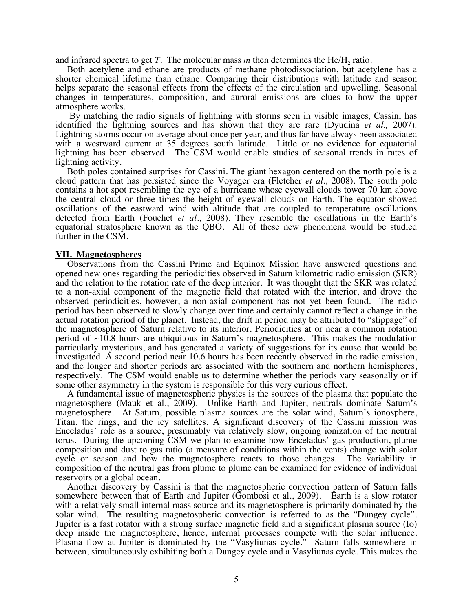and infrared spectra to get *T*. The molecular mass *m* then determines the He/H<sub>2</sub> ratio.

 Both acetylene and ethane are products of methane photodissociation, but acetylene has a shorter chemical lifetime than ethane. Comparing their distributions with latitude and season helps separate the seasonal effects from the effects of the circulation and upwelling. Seasonal changes in temperatures, composition, and auroral emissions are clues to how the upper atmosphere works.

 By matching the radio signals of lightning with storms seen in visible images, Cassini has identified the lightning sources and has shown that they are rare (Dyudina *et al.,* 2007). Lightning storms occur on average about once per year, and thus far have always been associated with a westward current at 35 degrees south latitude. Little or no evidence for equatorial lightning has been observed. The CSM would enable studies of seasonal trends in rates of lightning activity.

 Both poles contained surprises for Cassini. The giant hexagon centered on the north pole is a cloud pattern that has persisted since the Voyager era (Fletcher *et al.,* 2008). The south pole contains a hot spot resembling the eye of a hurricane whose eyewall clouds tower 70 km above the central cloud or three times the height of eyewall clouds on Earth. The equator showed oscillations of the eastward wind with altitude that are coupled to temperature oscillations detected from Earth (Fouchet *et al.,* 2008). They resemble the oscillations in the Earth's equatorial stratosphere known as the QBO. All of these new phenomena would be studied further in the CSM.

## **VII. Magnetospheres**

 Observations from the Cassini Prime and Equinox Mission have answered questions and opened new ones regarding the periodicities observed in Saturn kilometric radio emission (SKR) and the relation to the rotation rate of the deep interior. It was thought that the SKR was related to a non-axial component of the magnetic field that rotated with the interior, and drove the observed periodicities, however, a non-axial component has not yet been found. The radio period has been observed to slowly change over time and certainly cannot reflect a change in the actual rotation period of the planet. Instead, the drift in period may be attributed to "slippage" of the magnetosphere of Saturn relative to its interior. Periodicities at or near a common rotation period of  $\sim$ 10.8 hours are ubiquitous in Saturn's magnetosphere. This makes the modulation particularly mysterious, and has generated a variety of suggestions for its cause that would be investigated. A second period near 10.6 hours has been recently observed in the radio emission, and the longer and shorter periods are associated with the southern and northern hemispheres, respectively. The CSM would enable us to determine whether the periods vary seasonally or if some other asymmetry in the system is responsible for this very curious effect.

 A fundamental issue of magnetospheric physics is the sources of the plasma that populate the magnetosphere (Mauk et al., 2009). Unlike Earth and Jupiter, neutrals dominate Saturn's magnetosphere. At Saturn, possible plasma sources are the solar wind, Saturn's ionosphere, Titan, the rings, and the icy satellites. A significant discovery of the Cassini mission was Enceladus' role as a source, presumably via relatively slow, ongoing ionization of the neutral torus. During the upcoming CSM we plan to examine how Enceladus' gas production, plume composition and dust to gas ratio (a measure of conditions within the vents) change with solar cycle or season and how the magnetosphere reacts to those changes. The variability in composition of the neutral gas from plume to plume can be examined for evidence of individual reservoirs or a global ocean.

 Another discovery by Cassini is that the magnetospheric convection pattern of Saturn falls somewhere between that of Earth and Jupiter (Gombosi et al., 2009). Earth is a slow rotator with a relatively small internal mass source and its magnetosphere is primarily dominated by the solar wind. The resulting magnetospheric convection is referred to as the "Dungey cycle". Jupiter is a fast rotator with a strong surface magnetic field and a significant plasma source (Io) deep inside the magnetosphere, hence, internal processes compete with the solar influence. Plasma flow at Jupiter is dominated by the "Vasyliunas cycle." Saturn falls somewhere in between, simultaneously exhibiting both a Dungey cycle and a Vasyliunas cycle. This makes the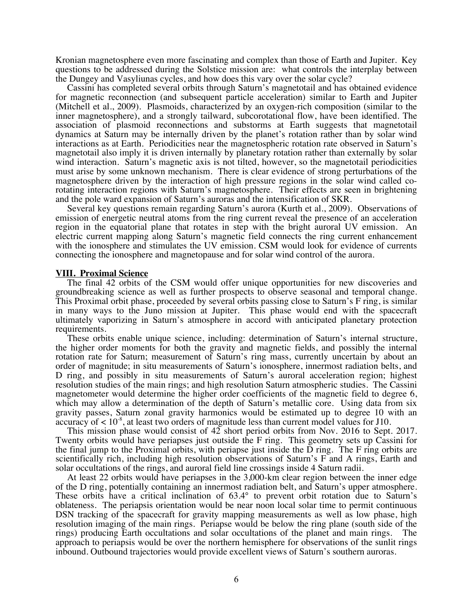Kronian magnetosphere even more fascinating and complex than those of Earth and Jupiter. Key questions to be addressed during the Solstice mission are: what controls the interplay between the Dungey and Vasyliunas cycles, and how does this vary over the solar cycle?

 Cassini has completed several orbits through Saturn's magnetotail and has obtained evidence for magnetic reconnection (and subsequent particle acceleration) similar to Earth and Jupiter (Mitchell et al., 2009). Plasmoids, characterized by an oxygen-rich composition (similar to the inner magnetosphere), and a strongly tailward, subcorotational flow, have been identified. The association of plasmoid reconnections and substorms at Earth suggests that magnetotail dynamics at Saturn may be internally driven by the planet's rotation rather than by solar wind interactions as at Earth. Periodicities near the magnetospheric rotation rate observed in Saturn's magnetotail also imply it is driven internally by planetary rotation rather than externally by solar wind interaction. Saturn's magnetic axis is not tilted, however, so the magnetotail periodicities must arise by some unknown mechanism. There is clear evidence of strong perturbations of the magnetosphere driven by the interaction of high pressure regions in the solar wind called corotating interaction regions with Saturn's magnetosphere. Their effects are seen in brightening and the pole ward expansion of Sat

Several key questions remain regarding Saturn's aurora (Kurth et al., 2009). Observations of emission of energetic neutral atoms from the ring current reveal the presence of an acceleration region in the equatorial plane that rotates in step with the bright auroral UV emission. An electric current mapping along Saturn's magnetic field connects the ring current enhancement with the ionosphere and stimulates the UV emission. CSM would look for evidence of currents connecting the ionosphere and magnetopause and for solar wind control of the aurora.

### **VIII. Proximal Science**

 The final 42 orbits of the CSM would offer unique opportunities for new discoveries and groundbreaking science as well as further prospects to observe seasonal and temporal change. This Proximal orbit phase, proceeded by several orbits passing close to Saturn's F ring, is similar in many ways to the Juno mission at Jupiter. This phase would end with the spacecraft ultimately vaporizing in Saturn's atmosphere in accord with anticipated planetary protection requirements.

 These orbits enable unique science, including: determination of Saturn's internal structure, the higher order moments for both the gravity and magnetic fields, and possibly the internal rotation rate for Saturn; measurement of Saturn's ring mass, currently uncertain by about an order of magnitude; in situ measurements of Saturn's ionosphere, innermost radiation belts, and D ring, and possibly in situ measurements of Saturn's auroral acceleration region; highest resolution studies of the main rings; and high resolution Saturn atmospheric studies. The Cassini magnetometer would determine the higher order coefficients of the magnetic field to degree 6, which may allow a determination of the depth of Saturn's metallic core. Using data from six gravity passes, Saturn zonal gravity harmonics would be estimated up to degree 10 with an accuracy of  $< 10^{-8}$ , at least two orders of magnitude less than current model values for J10.

 This mission phase would consist of 42 short period orbits from Nov. 2016 to Sept. 2017. Twenty orbits would have periapses just outside the F ring. This geometry sets up Cassini for the final jump to the Proximal orbits, with periapse just inside the D ring. The F ring orbits are scientifically rich, including high resolution observations of Saturn's F and A rings, Earth and solar occultations of the rings, and auroral field line crossings inside 4 Saturn radii.

 At least 22 orbits would have periapses in the 3,000-km clear region between the inner edge of the D ring, potentially containing an innermost radiation belt, and Saturn's upper atmosphere. These orbits have a critical inclination of 63.4° to prevent orbit rotation due to Saturn's oblateness. The periapsis orientation would be near noon local solar time to permit continuous DSN tracking of the spacecraft for gravity mapping measurements as well as low phase, high resolution imaging of the main rings. Periapse would be below the ring plane (south side of the rings) producing Earth occultations and solar occultations of the planet and main rings. The approach to periapsis would be over the northern hemisphere for observations of the sunlit rings inbound. Outbound trajectories would provide excellent views of Saturn's southern auroras.